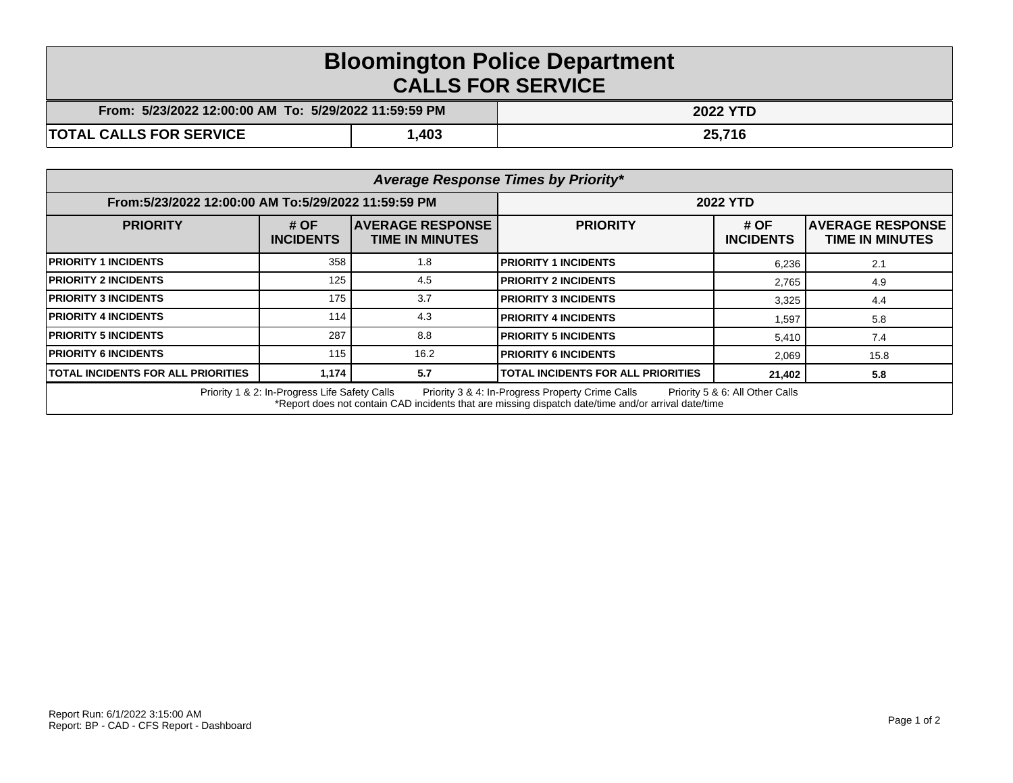## **Bloomington Police Department CALLS FOR SERVICE**

| : 5/23/2022 12:00:00 AM_To: 5/29/2022 11:59:59 PM<br>From: |      | <b>2022 YTD</b> |  |
|------------------------------------------------------------|------|-----------------|--|
| <b>TOTAL CALLS FOR SERVICE</b>                             | ,403 | 25,716          |  |

| Average Response Times by Priority*                                                                                                                                                                                                         |                            |                                                    |                                           |                          |                                                    |  |  |
|---------------------------------------------------------------------------------------------------------------------------------------------------------------------------------------------------------------------------------------------|----------------------------|----------------------------------------------------|-------------------------------------------|--------------------------|----------------------------------------------------|--|--|
| From:5/23/2022 12:00:00 AM To:5/29/2022 11:59:59 PM                                                                                                                                                                                         |                            | <b>2022 YTD</b>                                    |                                           |                          |                                                    |  |  |
| <b>PRIORITY</b>                                                                                                                                                                                                                             | # $OF$<br><b>INCIDENTS</b> | <b>IAVERAGE RESPONSE</b><br><b>TIME IN MINUTES</b> | <b>PRIORITY</b>                           | # OF<br><b>INCIDENTS</b> | <b>IAVERAGE RESPONSE</b><br><b>TIME IN MINUTES</b> |  |  |
| <b>PRIORITY 1 INCIDENTS</b>                                                                                                                                                                                                                 | 358                        | 1.8                                                | <b>PRIORITY 1 INCIDENTS</b>               | 6,236                    | 2.1                                                |  |  |
| <b>PRIORITY 2 INCIDENTS</b>                                                                                                                                                                                                                 | 125                        | 4.5                                                | <b>PRIORITY 2 INCIDENTS</b>               | 2,765                    | 4.9                                                |  |  |
| <b>PRIORITY 3 INCIDENTS</b>                                                                                                                                                                                                                 | 175                        | 3.7                                                | <b>PRIORITY 3 INCIDENTS</b>               | 3,325                    | 4.4                                                |  |  |
| <b>PRIORITY 4 INCIDENTS</b>                                                                                                                                                                                                                 | 114                        | 4.3                                                | <b>PRIORITY 4 INCIDENTS</b>               | 1,597                    | 5.8                                                |  |  |
| <b>PRIORITY 5 INCIDENTS</b>                                                                                                                                                                                                                 | 287                        | 8.8                                                | <b>PRIORITY 5 INCIDENTS</b>               | 5,410                    | 7.4                                                |  |  |
| <b>PRIORITY 6 INCIDENTS</b>                                                                                                                                                                                                                 | 115                        | 16.2                                               | <b>PRIORITY 6 INCIDENTS</b>               | 2,069                    | 15.8                                               |  |  |
| <b>TOTAL INCIDENTS FOR ALL PRIORITIES</b>                                                                                                                                                                                                   | 1,174                      | 5.7                                                | <b>TOTAL INCIDENTS FOR ALL PRIORITIES</b> | 21,402                   | 5.8                                                |  |  |
| Priority 1 & 2: In-Progress Life Safety Calls<br>Priority 3 & 4: In-Progress Property Crime Calls<br>Priority 5 & 6: All Other Calls<br>*Report does not contain CAD incidents that are missing dispatch date/time and/or arrival date/time |                            |                                                    |                                           |                          |                                                    |  |  |